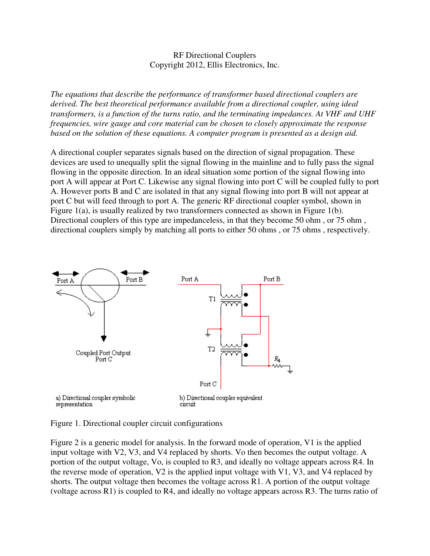## RF Directional Couplers Copyright 2012, Ellis Electronics, Inc.

*The equations that describe the performance of transformer based directional couplers are derived. The best theoretical performance available from a directional coupler, using ideal transformers, is a function of the turns ratio, and the terminating impedances. At VHF and UHF frequencies, wire gauge and core material can be chosen to closely approximate the response based on the solution of these equations. A computer program is presented as a design aid.*

A directional coupler separates signals based on the direction of signal propagation. These devices are used to unequally split the signal flowing in the mainline and to fully pass the signal flowing in the opposite direction. In an ideal situation some portion of the signal flowing into port A will appear at Port C. Likewise any signal flowing into port C will be coupled fully to port A. However ports B and C are isolated in that any signal flowing into port B will not appear at port C but will feed through to port A. The generic RF directional coupler symbol, shown in Figure 1(a), is usually realized by two transformers connected as shown in Figure 1(b). Directional couplers of this type are impedanceless, in that they become 50 ohm , or 75 ohm , directional couplers simply by matching all ports to either 50 ohms , or 75 ohms , respectively.



Figure 1. Directional coupler circuit configurations

Figure 2 is a generic model for analysis. In the forward mode of operation, V1 is the applied input voltage with V2, V3, and V4 replaced by shorts. Vo then becomes the output voltage. A portion of the output voltage, Vo, is coupled to R3, and ideally no voltage appears across R4. In the reverse mode of operation, V2 is the applied input voltage with V1, V3, and V4 replaced by shorts. The output voltage then becomes the voltage across R1. A portion of the output voltage (voltage across R1) is coupled to R4, and ideally no voltage appears across R3. The turns ratio of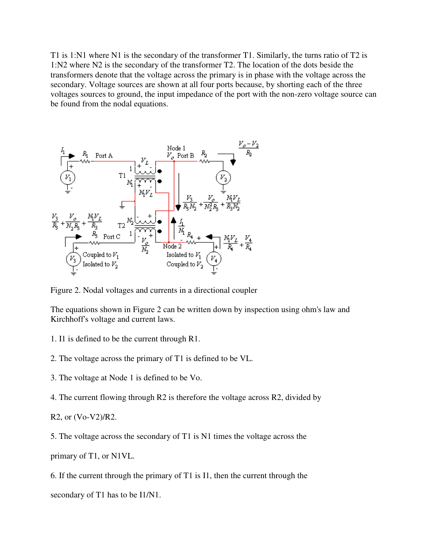T1 is 1:N1 where N1 is the secondary of the transformer T1. Similarly, the turns ratio of T2 is 1:N2 where N2 is the secondary of the transformer T2. The location of the dots beside the transformers denote that the voltage across the primary is in phase with the voltage across the secondary. Voltage sources are shown at all four ports because, by shorting each of the three voltages sources to ground, the input impedance of the port with the non-zero voltage source can be found from the nodal equations.



Figure 2. Nodal voltages and currents in a directional coupler

The equations shown in Figure 2 can be written down by inspection using ohm's law and Kirchhoff's voltage and current laws.

- 1. I1 is defined to be the current through R1.
- 2. The voltage across the primary of T1 is defined to be VL.
- 3. The voltage at Node 1 is defined to be Vo.

4. The current flowing through R2 is therefore the voltage across R2, divided by

```
R2, or (Vo-V2)/R2.
```
5. The voltage across the secondary of T1 is N1 times the voltage across the

primary of T1, or N1VL.

6. If the current through the primary of T1 is I1, then the current through the

secondary of T1 has to be I1/N1.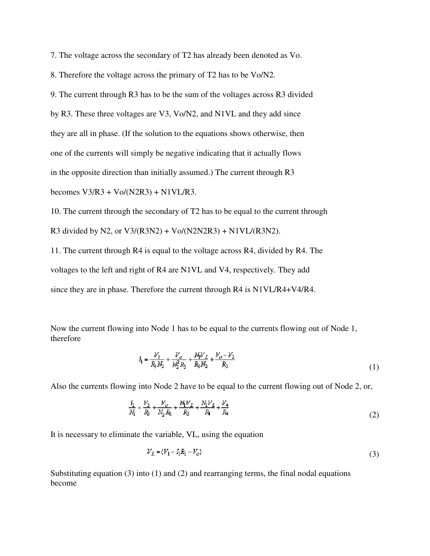7. The voltage across the secondary of T2 has already been denoted as Vo.

8. Therefore the voltage across the primary of T2 has to be Vo/N2.

9. The current through R3 has to be the sum of the voltages across R3 divided

by R3. These three voltages are V3, Vo/N2, and N1VL and they add since

they are all in phase. (If the solution to the equations shows otherwise, then

one of the currents will simply be negative indicating that it actually flows

in the opposite direction than initially assumed.) The current through R3

becomes  $V3/R3 + V_0/(N2R3) + N1VL/R3$ .

10. The current through the secondary of T2 has to be equal to the current through R3 divided by N2, or  $V3/(R3N2) + V_0/(N2N2R3) + N1VL/(R3N2)$ .

11. The current through R4 is equal to the voltage across R4, divided by R4. The voltages to the left and right of R4 are N1VL and V4, respectively. They add since they are in phase. Therefore the current through R4 is N1VL/R4+V4/R4.

Now the current flowing into Node 1 has to be equal to the currents flowing out of Node 1, therefore

$$
I_1 = \frac{V_3}{R_3 N_2} + \frac{V_o}{N_2^2 R_3} + \frac{N_1 V_L}{R_3 N_2} + \frac{V_o - V_2}{R_2}
$$
\n<sup>(1)</sup>

Also the currents flowing into Node 2 have to be equal to the current flowing out of Node 2, or,

$$
\frac{I_1}{M_1} = \frac{V_3}{R_3} + \frac{V_o}{N_2 R_3} + \frac{M V_L}{R_3} + \frac{M V_L}{R_4} + \frac{V_4}{R_4}
$$
\n(2)

It is necessary to eliminate the variable, VL, using the equation

$$
V_L = (V_1 - I_1 R_1 - V_o) \tag{3}
$$

Substituting equation (3) into (1) and (2) and rearranging terms, the final nodal equations become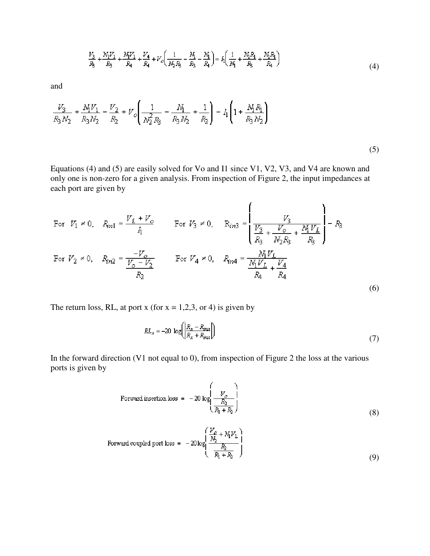$$
\frac{V_3}{R_3} + \frac{N_1 V_1}{R_3} + \frac{N_4 V_1}{R_4} + \frac{V_4}{R_4} + V_0 \left(\frac{1}{N_2 R_3} - \frac{N_1}{R_3} - \frac{N_1}{R_4}\right) = I_1 \left(\frac{1}{N_1} + \frac{N_1 R_1}{R_3} + \frac{N_1 R_1}{R_4}\right)
$$
(4)

and

$$
\frac{V_3}{R_3N_2} + \frac{N_1V_1}{R_3N_2} - \frac{V_2}{R_2} + V_o \left( \frac{1}{N_2^2R_3} - \frac{N_1}{R_3N_2} + \frac{1}{R_2} \right) = I_1 \left( 1 + \frac{N_1R_1}{R_3N_2} \right)
$$

(5)

Equations (4) and (5) are easily solved for Vo and I1 since V1, V2, V3, and V4 are known and only one is non-zero for a given analysis. From inspection of Figure 2, the input impedances at each port are given by

For 
$$
V_1 \neq 0
$$
,  $R_{in1} = \frac{V_L + V_o}{I_1}$  For  $V_3 \neq 0$ ,  $R_{in3} = \left(\frac{V_3}{\frac{V_3}{R_3} + \frac{V_o}{N_2 R_3} + \frac{M V_L}{R_3}}\right) - R_3$   
\nFor  $V_2 \neq 0$ ,  $R_{in2} = \frac{-V_o}{\frac{V_o - V_2}{R_2}}$  For  $V_4 \neq 0$ ,  $R_{in4} = \frac{M_1 V_L}{\frac{N_1 V_L}{R_4} + \frac{V_4}{R_4}}$  (6)

The return loss, RL, at port x (for  $x = 1,2,3$ , or 4) is given by

$$
RL_x = -20 \, \log \left( \left| \frac{R_x - R_{\text{max}}}{R_x + R_{\text{max}}} \right| \right) \tag{7}
$$

In the forward direction (V1 not equal to 0), from inspection of Figure 2 the loss at the various ports is given by

Forward insertion loss = 
$$
-20 \log \left( \frac{V_o}{\frac{R_2}{R_1 + R_2}} \right)
$$
 (8)

Forward coupled port loss = 
$$
-20\log\left(\frac{\frac{V_c}{N_2} + N_1 V_L}{\frac{R_2}{R_1 + R_2}}\right)
$$
(9)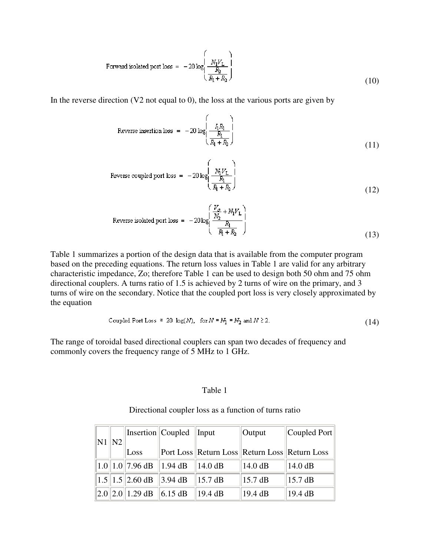Forward isolated port loss = 
$$
-20 \log \left( \frac{N_1 V_L}{\frac{R_2}{R_1 + R_2}} \right)
$$
 (10)

In the reverse direction  $(V2 \text{ not equal to } 0)$ , the loss at the various ports are given by

Reverse insertion loss = 
$$
-20 \log \left( \frac{\frac{1}{I_1 R_1}}{\frac{R_1}{R_1 + R_2}} \right)
$$
 (11)

Reverse coupled port loss = 
$$
-20 \log \left( \frac{N_1 V_L}{\frac{R_1}{R_1 + R_2}} \right)
$$
 (12)

Reverse isolated port loss = 
$$
-20\log\left(\frac{\frac{V_o}{N_2} + N_1V_L}{\frac{R_1}{R_1 + R_2}}\right)
$$
 (13)

Table 1 summarizes a portion of the design data that is available from the computer program based on the preceding equations. The return loss values in Table 1 are valid for any arbitrary characteristic impedance, Zo; therefore Table 1 can be used to design both 50 ohm and 75 ohm directional couplers. A turns ratio of 1.5 is achieved by 2 turns of wire on the primary, and 3 turns of wire on the secondary. Notice that the coupled port loss is very closely approximated by the equation

$$
Coupled Port Loss \approx 20 \log(N), \text{ for } N = N_1 = N_2 \text{ and } N \ge 2. \tag{14}
$$

The range of toroidal based directional couplers can span two decades of frequency and commonly covers the frequency range of 5 MHz to 1 GHz.

## Table 1

| N1   N2 |  |                                    | Insertion Coupled Input |                                               | Output            | $ $ Coupled Port $ $ |  |
|---------|--|------------------------------------|-------------------------|-----------------------------------------------|-------------------|----------------------|--|
|         |  | Loss                               |                         | Port Loss Return Loss Return Loss Return Loss |                   |                      |  |
|         |  | $\ 1.0\ 1.0\ $ 7.96 dB $\ 1.94$ dB |                         | $\parallel$ 14.0 dB                           | 14.0 dB           | 14.0 dB              |  |
|         |  | $\ 1.5\ 1.5\ 2.60$ dB $\ 3.94$ dB  |                         | $\parallel$ 15.7 dB                           | $15.7 \text{ dB}$ | $15.7 \text{ dB}$    |  |
|         |  | $\ 2.0\ 2.0\ 1.29$ dB $\ 6.15$ dB  |                         | 19.4 dB                                       | 19.4 dB           | 19.4 dB              |  |

## Directional coupler loss as a function of turns ratio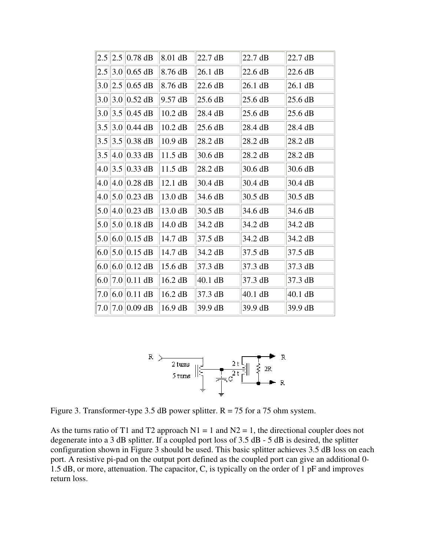|     | $2.5$   2.5  0.78 dB          | 8.01 dB   | 22.7 dB           | 22.7 dB   | 22.7 dB   |
|-----|-------------------------------|-----------|-------------------|-----------|-----------|
|     | $2.5$   3.0  0.65 dB          | 8.76 dB   | 26.1 dB           | 22.6 dB   | 22.6 dB   |
|     | $3.0$   2.5  0.65 dB          | 8.76 dB   | 22.6 dB           | $26.1$ dB | $26.1$ dB |
|     | $3.0$   3.0  0.52 dB          | 9.57 dB   | $25.6 \text{ dB}$ | 25.6 dB   | 25.6 dB   |
|     | $3.0$   3.5  0.45 dB          | $10.2$ dB | 28.4 dB           | 25.6 dB   | 25.6 dB   |
|     | $3.5$   3.0  0.44 dB          | $10.2$ dB | 25.6 dB           | 28.4 dB   | 28.4 dB   |
| 3.5 | $ 3.5 0.38$ dB                | 10.9 dB   | 28.2 dB           | 28.2 dB   | 28.2 dB   |
| 3.5 | $\ 4.0\ 0.33$ dB              | 11.5 dB   | 30.6 dB           | 28.2 dB   | 28.2 dB   |
| 4.0 | $3.5 \,   0.33 \,  $ dB       | $11.5$ dB | 28.2 dB           | 30.6 dB   | 30.6 dB   |
|     | $4.0$    $4.0$    $0.28$ dB   | 12.1 dB   | $30.4$ dB         | 30.4 dB   | 30.4 dB   |
|     | $4.0$   5.0  0.23 dB          | 13.0 dB   | 34.6 dB           | 30.5 dB   | 30.5 dB   |
|     | $5.0$   4.0  0.23 dB          | 13.0 dB   | 30.5 dB           | 34.6 dB   | 34.6 dB   |
|     | $5.0$    $5.0$    $0.18$ dB   | 14.0 dB   | 34.2 dB           | 34.2 dB   | 34.2 dB   |
|     | $5.0$ 6.0 0.15 dB             | 14.7 dB   | $37.5 \text{ dB}$ | 34.2 dB   | 34.2 dB   |
|     | 6.0 $\vert 5.0 \vert 0.15$ dB | 14.7 dB   | 34.2 dB           | 37.5 dB   | 37.5 dB   |
|     | 6.0 $ 6.0 0.12$ dB            | 15.6 dB   | $37.3 \text{ dB}$ | 37.3 dB   | 37.3 dB   |
| 6.0 | $ 7.0 0.11$ dB                | 16.2 dB   | 40.1 dB           | 37.3 dB   | 37.3 dB   |
|     | $7.0\,6.0\,0.11$ dB           | 16.2 dB   | 37.3 dB           | $40.1$ dB | $40.1$ dB |
|     | $7.0$   7.0  0.09 dB          | 16.9 dB   | 39.9 dB           | 39.9 dB   | 39.9 dB   |



Figure 3. Transformer-type 3.5 dB power splitter.  $R = 75$  for a 75 ohm system.

As the turns ratio of T1 and T2 approach  $N1 = 1$  and  $N2 = 1$ , the directional coupler does not degenerate into a 3 dB splitter. If a coupled port loss of 3.5 dB - 5 dB is desired, the splitter configuration shown in Figure 3 should be used. This basic splitter achieves 3.5 dB loss on each port. A resistive pi-pad on the output port defined as the coupled port can give an additional 0- 1.5 dB, or more, attenuation. The capacitor, C, is typically on the order of 1 pF and improves return loss.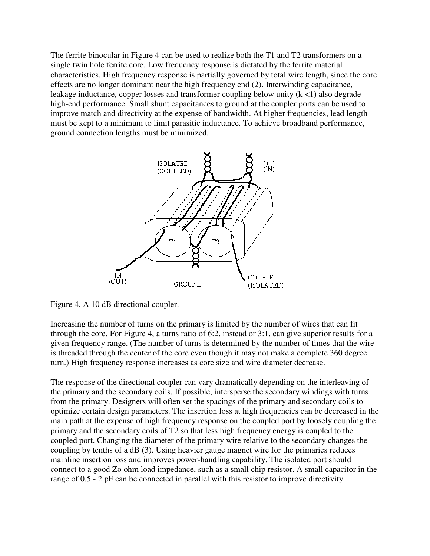The ferrite binocular in Figure 4 can be used to realize both the T1 and T2 transformers on a single twin hole ferrite core. Low frequency response is dictated by the ferrite material characteristics. High frequency response is partially governed by total wire length, since the core effects are no longer dominant near the high frequency end (2). Interwinding capacitance, leakage inductance, copper losses and transformer coupling below unity  $(k < 1)$  also degrade high-end performance. Small shunt capacitances to ground at the coupler ports can be used to improve match and directivity at the expense of bandwidth. At higher frequencies, lead length must be kept to a minimum to limit parasitic inductance. To achieve broadband performance, ground connection lengths must be minimized.



Figure 4. A 10 dB directional coupler.

Increasing the number of turns on the primary is limited by the number of wires that can fit through the core. For Figure 4, a turns ratio of 6:2, instead or 3:1, can give superior results for a given frequency range. (The number of turns is determined by the number of times that the wire is threaded through the center of the core even though it may not make a complete 360 degree turn.) High frequency response increases as core size and wire diameter decrease.

The response of the directional coupler can vary dramatically depending on the interleaving of the primary and the secondary coils. If possible, intersperse the secondary windings with turns from the primary. Designers will often set the spacings of the primary and secondary coils to optimize certain design parameters. The insertion loss at high frequencies can be decreased in the main path at the expense of high frequency response on the coupled port by loosely coupling the primary and the secondary coils of T2 so that less high frequency energy is coupled to the coupled port. Changing the diameter of the primary wire relative to the secondary changes the coupling by tenths of a dB (3). Using heavier gauge magnet wire for the primaries reduces mainline insertion loss and improves power-handling capability. The isolated port should connect to a good Zo ohm load impedance, such as a small chip resistor. A small capacitor in the range of 0.5 - 2 pF can be connected in parallel with this resistor to improve directivity.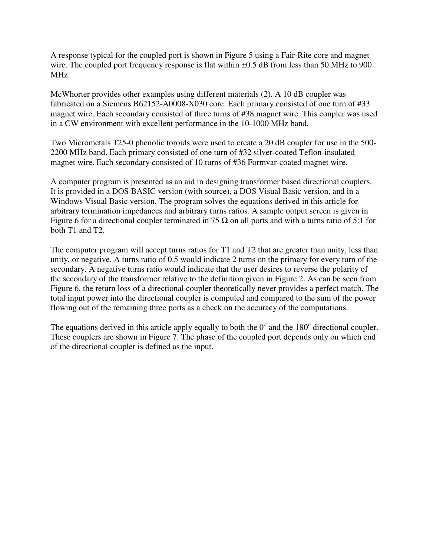A response typical for the coupled port is shown in Figure 5 using a Fair-Rite core and magnet wire. The coupled port frequency response is flat within  $\pm 0.5$  dB from less than 50 MHz to 900 MHz.

McWhorter provides other examples using different materials (2). A 10 dB coupler was fabricated on a Siemens B62152-A0008-X030 core. Each primary consisted of one turn of #33 magnet wire. Each secondary consisted of three turns of #38 magnet wire. This coupler was used in a CW environment with excellent performance in the 10-1000 MHz band.

Two Micrometals T25-0 phenolic toroids were used to create a 20 dB coupler for use in the 500- 2200 MHz band. Each primary consisted of one turn of #32 silver-coated Teflon-insulated magnet wire. Each secondary consisted of 10 turns of #36 Formvar-coated magnet wire.

A computer program is presented as an aid in designing transformer based directional couplers. It is provided in a DOS BASIC version (with source), a DOS Visual Basic version, and in a Windows Visual Basic version. The program solves the equations derived in this article for arbitrary termination impedances and arbitrary turns ratios. A sample output screen is given in Figure 6 for a directional coupler terminated in 75  $\Omega$  on all ports and with a turns ratio of 5:1 for both T1 and T2.

The computer program will accept turns ratios for T1 and T2 that are greater than unity, less than unity, or negative. A turns ratio of 0.5 would indicate 2 turns on the primary for every turn of the secondary. A negative turns ratio would indicate that the user desires to reverse the polarity of the secondary of the transformer relative to the definition given in Figure 2. As can be seen from Figure 6, the return loss of a directional coupler theoretically never provides a perfect match. The total input power into the directional coupler is computed and compared to the sum of the power flowing out of the remaining three ports as a check on the accuracy of the computations.

The equations derived in this article apply equally to both the  $0^{\circ}$  and the 180 $^{\circ}$  directional coupler. These couplers are shown in Figure 7. The phase of the coupled port depends only on which end of the directional coupler is defined as the input.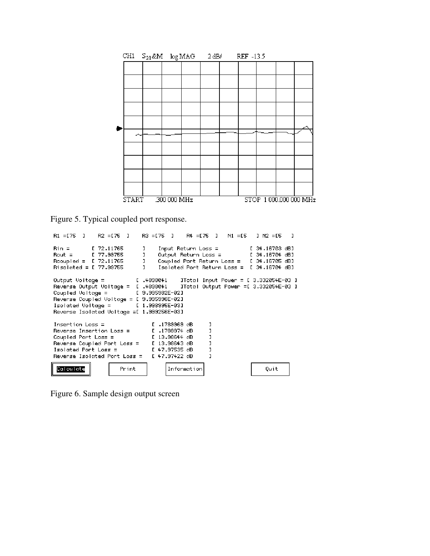| CH1 $S_{21}$ &M $log MAG$ 2 dB/ REF -13.5 |  |              |  |  |  |  |  |                        |
|-------------------------------------------|--|--------------|--|--|--|--|--|------------------------|
|                                           |  |              |  |  |  |  |  |                        |
|                                           |  |              |  |  |  |  |  |                        |
|                                           |  |              |  |  |  |  |  |                        |
|                                           |  |              |  |  |  |  |  |                        |
|                                           |  |              |  |  |  |  |  |                        |
|                                           |  |              |  |  |  |  |  |                        |
|                                           |  |              |  |  |  |  |  |                        |
|                                           |  |              |  |  |  |  |  |                        |
|                                           |  |              |  |  |  |  |  |                        |
|                                           |  |              |  |  |  |  |  |                        |
| <b>START</b>                              |  | .300 000 MHz |  |  |  |  |  | STOP 1 000.000 000 MHz |

Figure 5. Typical coupled port response.

```
R1 = 175 J
              R2 = 175 J
                             R3 = [75 ]
                                           R4 = 175 J
                                                        NI = ISJ N2 = E5
                                                                              \mathbf{J}Rin =[ 72.11765
                             J.
                                  Input Return Loss =
                                                                [ 34.16703 dB]
Rout =[ 77.99755
                                                                1.34.16704 dB]
                             \mathbf{I}Output Return Loss =
Rooupled = I.72.11765\mathbf{J}Coupled Port Return Loss = 1.34.16705 dB]
Risolated = [77.99755]\mathbf{I}Isolated Port Return Loss = [ 34.16704 dB]
Output Voltage =
                           L .4898041
                                         JTotal Input Power = [ 3.332054E-03 ]
                                         JTotal Output Power =[ 3.332054E-03 ]
Reverse Output Voltage = [ .4898041
Coupled Voltage =[ 9.995982E-02]
Reverse Coupled Voltage = [ 9.995996E-02]
Isolated Voltage =[ 1.998995E-03]
Reverse Isolated Voltage = [1.999256E-03]
                                I .1789969 dB
Insertion Loss =J
                                I .1789974 dB
Reverse Insertion Loss =\mathbf{I}Coupled Port Loss =[ 13.98644 dB
                                                   J
Reverse Coupled Port Loss =
                                [ 13.98643 dB
                                                   J
                                E 47.97535 dB
Isolated Port Loss =
                                                   J
Reverse Isolated Port Loss =
                                E 47.97422 dB
                                                   J
 Calculate
                     Print
                                     Information
                                                                     Quit
```
Figure 6. Sample design output screen